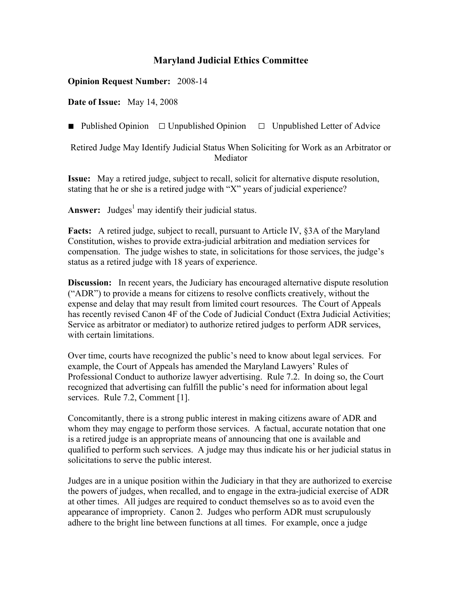## **Maryland Judicial Ethics Committee**

## **Opinion Request Number:** 2008-14

**Date of Issue:** May 14, 2008

■ Published Opinion □ Unpublished Opinion □ Unpublished Letter of Advice

Retired Judge May Identify Judicial Status When Soliciting for Work as an Arbitrator or Mediator

**Issue:** May a retired judge, subject to recall, solicit for alternative dispute resolution, stating that he or she is a retired judge with "X" years of judicial experience?

Answer: Judges<sup>1</sup> may identify their judicial status.

**Facts:** A retired judge, subject to recall, pursuant to Article IV, §3A of the Maryland Constitution, wishes to provide extra-judicial arbitration and mediation services for compensation. The judge wishes to state, in solicitations for those services, the judge's status as a retired judge with 18 years of experience.

**Discussion:** In recent years, the Judiciary has encouraged alternative dispute resolution ("ADR") to provide a means for citizens to resolve conflicts creatively, without the expense and delay that may result from limited court resources. The Court of Appeals has recently revised Canon 4F of the Code of Judicial Conduct (Extra Judicial Activities; Service as arbitrator or mediator) to authorize retired judges to perform ADR services, with certain limitations.

Over time, courts have recognized the public's need to know about legal services. For example, the Court of Appeals has amended the Maryland Lawyers' Rules of Professional Conduct to authorize lawyer advertising. Rule 7.2. In doing so, the Court recognized that advertising can fulfill the public's need for information about legal services. Rule 7.2, Comment [1].

Concomitantly, there is a strong public interest in making citizens aware of ADR and whom they may engage to perform those services. A factual, accurate notation that one is a retired judge is an appropriate means of announcing that one is available and qualified to perform such services. A judge may thus indicate his or her judicial status in solicitations to serve the public interest.

Judges are in a unique position within the Judiciary in that they are authorized to exercise the powers of judges, when recalled, and to engage in the extra-judicial exercise of ADR at other times. All judges are required to conduct themselves so as to avoid even the appearance of impropriety. Canon 2. Judges who perform ADR must scrupulously adhere to the bright line between functions at all times. For example, once a judge